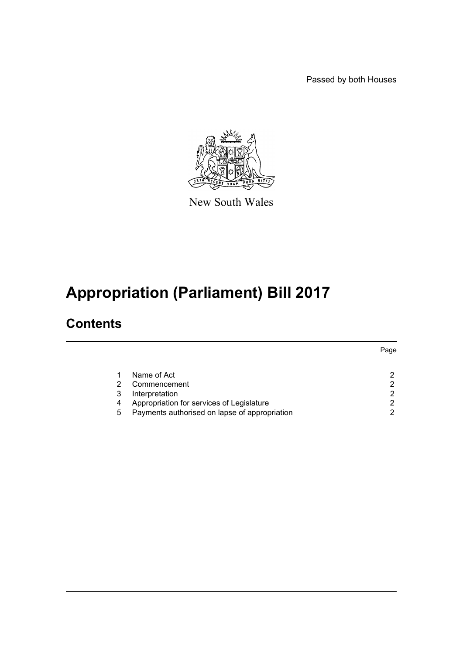Passed by both Houses



New South Wales

# **Appropriation (Parliament) Bill 2017**

### **Contents**

|   |                                               | Page |
|---|-----------------------------------------------|------|
|   | Name of Act                                   |      |
|   | Commencement                                  | ົ    |
|   | Interpretation                                | ົ    |
| 4 | Appropriation for services of Legislature     | ⌒    |
| 5 | Payments authorised on lapse of appropriation |      |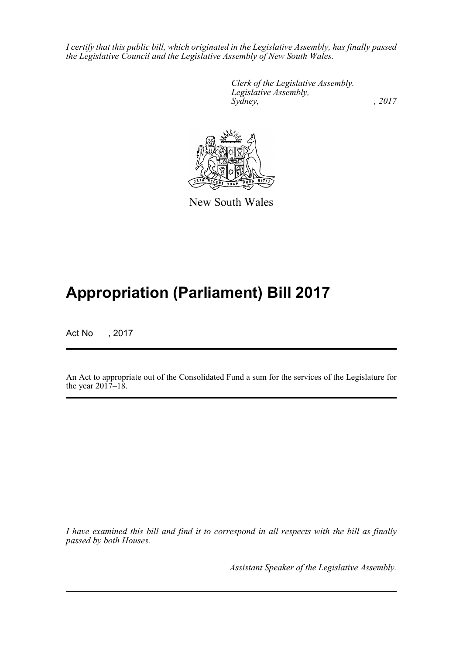*I certify that this public bill, which originated in the Legislative Assembly, has finally passed the Legislative Council and the Legislative Assembly of New South Wales.*

> *Clerk of the Legislative Assembly. Legislative Assembly, Sydney,* , 2017



New South Wales

## **Appropriation (Parliament) Bill 2017**

Act No , 2017

An Act to appropriate out of the Consolidated Fund a sum for the services of the Legislature for the year  $2017 - 18$ .

*I have examined this bill and find it to correspond in all respects with the bill as finally passed by both Houses.*

*Assistant Speaker of the Legislative Assembly.*